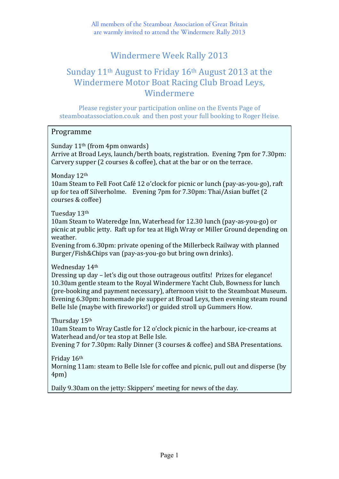All members of the Steamboat Association of Great Britain are warmly invited to attend the Windermere Rally 2013

## Windermere Week Rally 2013

### Sunday  $11<sup>th</sup>$  August to Friday  $16<sup>th</sup>$  August 2013 at the Windermere Motor Boat Racing Club Broad Leys, Windermere

Please register your participation online on the Events Page of steamboatassociation.co.uk and then post your full booking to Roger Heise.

#### Programme

Sunday  $11<sup>th</sup>$  (from 4pm onwards) Arrive at Broad Leys, launch/berth boats, registration. Evening 7pm for 7.30pm: Carvery supper  $(2 \text{ courses } \& \text{ coffee})$ , chat at the bar or on the terrace.

Monday 12th

10am Steam to Fell Foot Café 12 o'clock for picnic or lunch (pay-as-you-go), raft up for tea off Silverholme. Evening  $7$ pm for  $7.30$ pm: Thai/Asian buffet  $(2)$ courses & coffee)

Tuesday 13th

10am Steam to Wateredge Inn, Waterhead for 12.30 lunch (pay-as-you-go) or picnic at public jetty. Raft up for tea at High Wray or Miller Ground depending on weather.

Evening from 6.30pm: private opening of the Millerbeck Railway with planned Burger/Fish&Chips van (pay-as-you-go but bring own drinks).

Wednesday 14th

Dressing up day – let's dig out those outrageous outfits! Prizes for elegance! 10.30am gentle steam to the Royal Windermere Yacht Club, Bowness for lunch (pre-booking and payment necessary), afternoon visit to the Steamboat Museum. Evening 6.30pm: homemade pie supper at Broad Leys, then evening steam round Belle Isle (maybe with fireworks!) or guided stroll up Gummers How.

Thursday 15<sup>th</sup>

10am Steam to Wray Castle for 12 o'clock picnic in the harbour, ice-creams at Waterhead and/or tea stop at Belle Isle.

Evening 7 for 7.30pm: Rally Dinner (3 courses & coffee) and SBA Presentations.

Friday 16th Morning 11am: steam to Belle Isle for coffee and picnic, pull out and disperse (by 4pm)

Daily 9.30am on the jetty: Skippers' meeting for news of the day.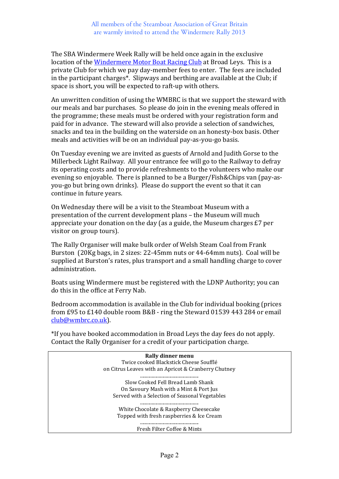The SBA Windermere Week Rally will be held once again in the exclusive location of the Windermere Motor Boat Racing Club at Broad Leys. This is a private Club for which we pay day-member fees to enter. The fees are included in the participant charges<sup>\*</sup>. Slipways and berthing are available at the Club; if space is short, you will be expected to raft-up with others.

An unwritten condition of using the WMBRC is that we support the steward with our meals and bar purchases. So please do join in the evening meals offered in the programme; these meals must be ordered with your registration form and paid for in advance. The steward will also provide a selection of sandwiches, snacks and tea in the building on the waterside on an honesty-box basis. Other meals and activities will be on an individual pay-as-you-go basis.

On Tuesday evening we are invited as guests of Arnold and Judith Gorse to the Millerbeck Light Railway. All your entrance fee will go to the Railway to defray its operating costs and to provide refreshments to the volunteers who make our evening so enjoyable. There is planned to be a Burger/Fish&Chips van (pay-asyou-go but bring own drinks). Please do support the event so that it can continue in future years.

On Wednesday there will be a visit to the Steamboat Museum with a presentation of the current development plans - the Museum will much appreciate your donation on the day (as a guide, the Museum charges  $E7$  per visitor on group tours).

The Rally Organiser will make bulk order of Welsh Steam Coal from Frank Burston (20Kg bags, in 2 sizes: 22-45mm nuts or 44-64mm nuts). Coal will be supplied at Burston's rates, plus transport and a small handling charge to cover administration.

Boats using Windermere must be registered with the LDNP Authority; you can do this in the office at Ferry Nab.

Bedroom accommodation is available in the Club for individual booking (prices from £95 to £140 double room B&B - ring the Steward 01539 443 284 or email club@wmbrc.co.uk). 

\*If you have booked accommodation in Broad Leys the day fees do not apply. Contact the Rally Organiser for a credit of your participation charge.

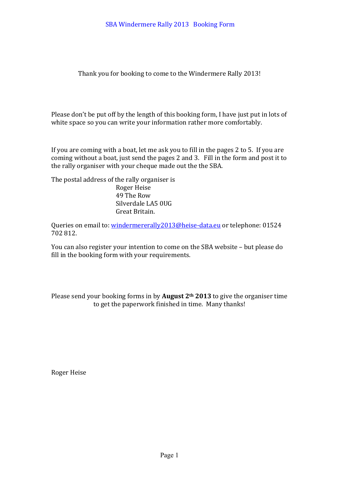Thank you for booking to come to the Windermere Rally 2013!

Please don't be put off by the length of this booking form, I have just put in lots of white space so you can write your information rather more comfortably.

If you are coming with a boat, let me ask you to fill in the pages  $2$  to  $5$ . If you are coming without a boat, just send the pages 2 and 3. Fill in the form and post it to the rally organiser with your cheque made out the the SBA.

The postal address of the rally organiser is Roger Heise 49 The Row Silverdale LA5 0UG Great Britain.

Queries on email to: windermererally2013@heise-data.eu or telephone: 01524 702 812.

You can also register your intention to come on the SBA website – but please do fill in the booking form with your requirements.

Please send your booking forms in by **August**  $2<sup>th</sup>$  2013 to give the organiser time to get the paperwork finished in time. Many thanks!

Roger Heise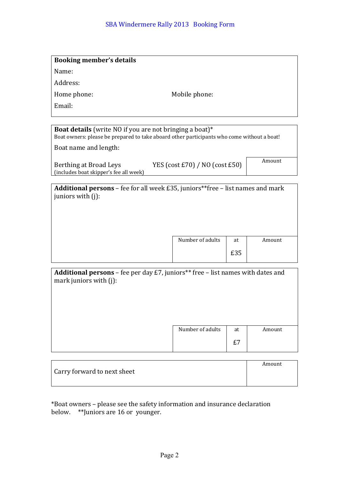| <b>Booking member's details</b>                                                         |                                                                                            |        |
|-----------------------------------------------------------------------------------------|--------------------------------------------------------------------------------------------|--------|
| Name:                                                                                   |                                                                                            |        |
| Address:                                                                                |                                                                                            |        |
| Home phone:                                                                             | Mobile phone:                                                                              |        |
| Email:                                                                                  |                                                                                            |        |
|                                                                                         |                                                                                            |        |
| <b>Boat details</b> (write NO if you are not bringing a boat)*<br>Boat name and length: | Boat owners: please be prepared to take aboard other participants who come without a boat! |        |
| Berthing at Broad Leys<br>(includes boat skipper's fee all week)                        | YES (cost $E70$ ) / NO (cost $E50$ )                                                       | Amount |
| juniors with $(i)$ :                                                                    | <b>Additional persons</b> – fee for all week £35, juniors**free – list names and mark      |        |

|  | £35 |  |
|--|-----|--|
|  |     |  |

Number of adults at

| Amount |  |
|--------|--|
|        |  |

| <b>Additional persons</b> – fee per day £7, juniors** free – list names with dates and |  |  |
|----------------------------------------------------------------------------------------|--|--|
| mark juniors with $(i)$ :                                                              |  |  |

| Number of adults | at | Amount |
|------------------|----|--------|
|                  |    |        |

|                             | Amount |
|-----------------------------|--------|
| Carry forward to next sheet |        |
|                             |        |

\*Boat owners - please see the safety information and insurance declaration below. \*\*Juniors are 16 or younger.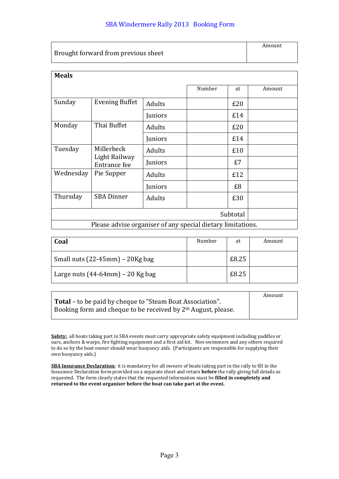|                                     | Amount |
|-------------------------------------|--------|
| Brought forward from previous sheet |        |

| <b>Meals</b> |                                                             |               |        |     |        |
|--------------|-------------------------------------------------------------|---------------|--------|-----|--------|
|              |                                                             |               | Number | at  | Amount |
| Sunday       | <b>Evening Buffet</b>                                       | Adults        |        | £20 |        |
|              |                                                             | Juniors       |        | £14 |        |
| Monday       | Thai Buffet                                                 | <b>Adults</b> |        | £20 |        |
|              |                                                             | Juniors       |        | £14 |        |
| Tuesday      | Millerbeck                                                  | <b>Adults</b> |        | £10 |        |
|              | Light Railway<br>Entrance fee                               | Juniors       |        | £7  |        |
| Wednesday    | Pie Supper                                                  | <b>Adults</b> |        | £12 |        |
|              |                                                             | Juniors       |        | £8  |        |
| Thursday     | <b>SBA Dinner</b>                                           | Adults        |        | £30 |        |
| Subtotal     |                                                             |               |        |     |        |
|              | Please advise organiser of any special dietary limitations. |               |        |     |        |

| Coal                                   | Number | at    | Amount |
|----------------------------------------|--------|-------|--------|
| Small nuts $(22-45$ mm $) - 20$ Kg bag |        | £8.25 |        |
| Large nuts $(44-64$ mm $)$ – 20 Kg bag |        | £8.25 |        |

|                                                                  | Amount |
|------------------------------------------------------------------|--------|
| <b>Total</b> – to be paid by cheque to "Steam Boat Association". |        |
| Booking form and cheque to be received by $2th$ August, please.  |        |

Safety: all boats taking part in SBA events must carry appropriate safety equipment including paddles or oars, anchors & warps, fire fighting equipment and a first aid kit. Non-swimmers and any others required to do so by the boat owner should wear buoyancy aids. (Participants are responsible for supplying their own buoyancy aids.)

**SBA Insurance Declaration:** it is mandatory for all owners of boats taking part in the rally to fill in the Insurance Declaration form provided on a separate sheet and return **before** the rally giving full details as requested. The form clearly states that the requested information must be **filled in completely and** returned to the event organiser before the boat can take part at the event.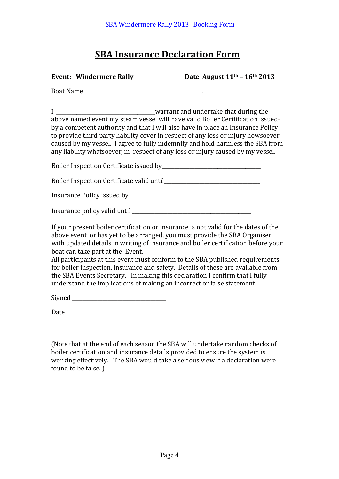# **SBA Insurance Declaration Form**

Event: Windermere Rally **Date August 11th – 16th 2013** 

Boat Name

I \_\_\_\_\_\_\_\_\_\_\_\_\_\_\_\_\_\_\_\_\_\_\_\_\_\_\_\_\_\_\_\_\_\_\_\_\_\_\_warrant and undertake that during the above named event my steam vessel will have valid Boiler Certification issuedby a competent authority and that I will also have in place an Insurance Policy to provide third party liability cover in respect of any loss or injury howsoever caused by my vessel. I agree to fully indemnify and hold harmless the SBA from any liability whatsoever, in respect of any loss or injury caused by my vessel.

Boiler Inspection Certificate issued by

Boiler Inspection Certificate valid until\_\_\_\_\_\_\_\_\_\_\_\_\_\_\_\_\_\_\_\_\_\_\_\_\_\_\_\_\_\_\_\_\_\_\_\_\_\_

Insurance Policy issued by \_\_\_\_\_\_\_\_\_\_\_\_\_\_\_\_\_\_\_\_\_\_\_\_\_\_\_\_\_\_\_\_\_\_\_\_\_\_\_\_\_\_\_\_\_\_\_\_

| Insurance policy valid until |  |
|------------------------------|--|
|------------------------------|--|

If your present boiler certification or insurance is not valid for the dates of the above event or has yet to be arranged, you must provide the SBA Organiser with updated details in writing of insurance and boiler certification before your boat can take part at the Event.

All participants at this event must conform to the SBA published requirements for boiler inspection, insurance and safety. Details of these are available from the SBA Events Secretary. In making this declaration I confirm that I fully understand the implications of making an incorrect or false statement.

Signed and  $\Box$ 

Date

(Note that at the end of each season the SBA will undertake random checks of boiler certification and insurance details provided to ensure the system is working effectively. The SBA would take a serious view if a declaration were found to be false.  $\big)$